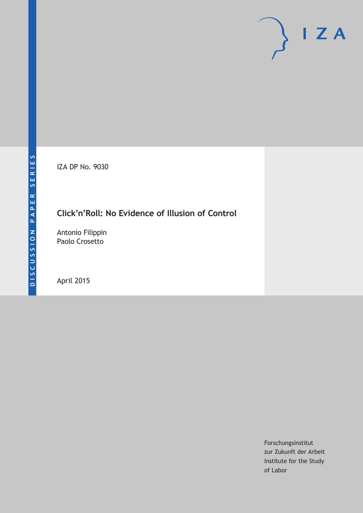IZA DP No. 9030

# **Click'n'Roll: No Evidence of Illusion of Control**

Antonio Filippin Paolo Crosetto

April 2015

Forschungsinstitut zur Zukunft der Arbeit Institute for the Study of Labor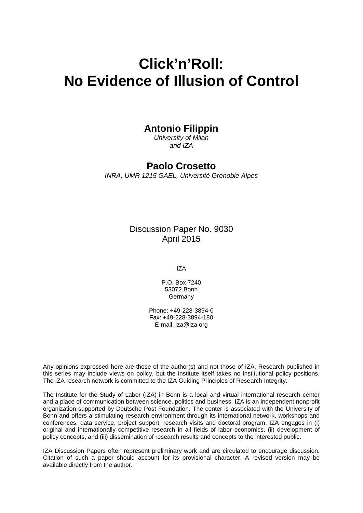# **Click'n'Roll: No Evidence of Illusion of Control**

# **Antonio Filippin**

*University of Milan and IZA*

# **Paolo Crosetto**

*INRA, UMR 1215 GAEL, Université Grenoble Alpes*

Discussion Paper No. 9030 April 2015

IZA

P.O. Box 7240 53072 Bonn **Germany** 

Phone: +49-228-3894-0 Fax: +49-228-3894-180 E-mail: iza@iza.org

Any opinions expressed here are those of the author(s) and not those of IZA. Research published in this series may include views on policy, but the institute itself takes no institutional policy positions. The IZA research network is committed to the IZA Guiding Principles of Research Integrity.

The Institute for the Study of Labor (IZA) in Bonn is a local and virtual international research center and a place of communication between science, politics and business. IZA is an independent nonprofit organization supported by Deutsche Post Foundation. The center is associated with the University of Bonn and offers a stimulating research environment through its international network, workshops and conferences, data service, project support, research visits and doctoral program. IZA engages in (i) original and internationally competitive research in all fields of labor economics, (ii) development of policy concepts, and (iii) dissemination of research results and concepts to the interested public.

<span id="page-1-0"></span>IZA Discussion Papers often represent preliminary work and are circulated to encourage discussion. Citation of such a paper should account for its provisional character. A revised version may be available directly from the author.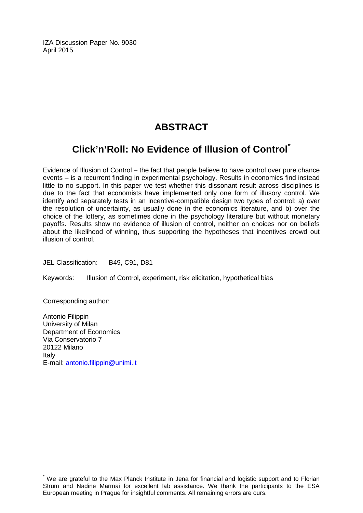IZA Discussion Paper No. 9030 April 2015

# **ABSTRACT**

# **Click'n'Roll: No Evidence of Illusion of Control[\\*](#page-1-0)**

Evidence of Illusion of Control – the fact that people believe to have control over pure chance events – is a recurrent finding in experimental psychology. Results in economics find instead little to no support. In this paper we test whether this dissonant result across disciplines is due to the fact that economists have implemented only one form of illusory control. We identify and separately tests in an incentive-compatible design two types of control: a) over the resolution of uncertainty, as usually done in the economics literature, and b) over the choice of the lottery, as sometimes done in the psychology literature but without monetary payoffs. Results show no evidence of illusion of control, neither on choices nor on beliefs about the likelihood of winning, thus supporting the hypotheses that incentives crowd out illusion of control.

JEL Classification: B49, C91, D81

Keywords: Illusion of Control, experiment, risk elicitation, hypothetical bias

Corresponding author:

Antonio Filippin University of Milan Department of Economics Via Conservatorio 7 20122 Milano Italy E-mail: [antonio.filippin@unimi.it](mailto:antonio.filippin@unimi.it)

We are grateful to the Max Planck Institute in Jena for financial and logistic support and to Florian Strum and Nadine Marmai for excellent lab assistance. We thank the participants to the ESA European meeting in Prague for insightful comments. All remaining errors are ours.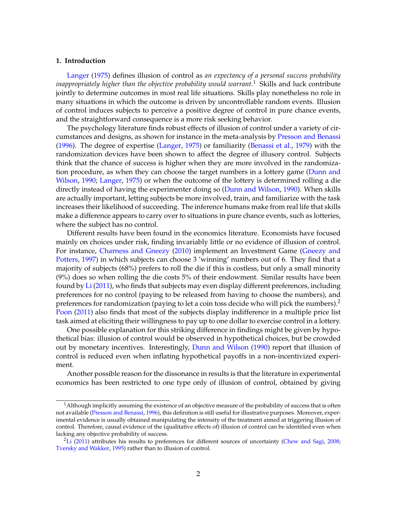#### **1. Introduction**

[Langer](#page-13-0) [\(1975\)](#page-13-0) defines illusion of control as *an expectancy of a personal success probability inappropriately higher than the objective probability would warrant.*<sup>1</sup> Skills and luck contribute jointly to determine outcomes in most real life situations. Skills play nonetheless no role in many situations in which the outcome is driven by uncontrollable random events. Illusion of control induces subjects to perceive a positive degree of control in pure chance events, and the straightforward consequence is a more risk seeking behavior.

The psychology literature finds robust effects of illusion of control under a variety of circumstances and designs, as shown for instance in the meta-analysis by [Presson and Benassi](#page-13-1) [\(1996\)](#page-13-1). The degree of expertise [\(Langer,](#page-13-0) [1975\)](#page-13-0) or familiarity [\(Benassi et al.,](#page-13-2) [1979\)](#page-13-2) with the randomization devices have been shown to affect the degree of illusory control. Subjects think that the chance of success is higher when they are more involved in the randomization procedure, as when they can choose the target numbers in a lottery game [\(Dunn and](#page-13-3) [Wilson,](#page-13-3) [1990;](#page-13-3) [Langer,](#page-13-0) [1975\)](#page-13-0) or when the outcome of the lottery is determined rolling a die directly instead of having the experimenter doing so [\(Dunn and Wilson,](#page-13-3) [1990\)](#page-13-3). When skills are actually important, letting subjects be more involved, train, and familiarize with the task increases their likelihood of succeeding. The inference humans make from real life that skills make a difference appears to carry over to situations in pure chance events, such as lotteries, where the subject has no control.

Different results have been found in the economics literature. Economists have focused mainly on choices under risk, finding invariably little or no evidence of illusion of control. For instance, [Charness and Gneezy](#page-13-4) [\(2010\)](#page-13-4) implement an Investment Game [\(Gneezy and](#page-13-5) [Potters,](#page-13-5) [1997\)](#page-13-5) in which subjects can choose 3 'winning' numbers out of 6. They find that a majority of subjects (68%) prefers to roll the die if this is costless, but only a small minority (9%) does so when rolling the die costs 5% of their endowment. Similar results have been found by [Li](#page-13-6) [\(2011\)](#page-13-6), who finds that subjects may even display different preferences, including preferences for no control (paying to be released from having to choose the numbers), and preferences for randomization (paying to let a coin toss decide who will pick the numbers).<sup>2</sup> [Poon](#page-13-7) [\(2011\)](#page-13-7) also finds that most of the subjects display indifference in a multiple price list task aimed at eliciting their willingness to pay up to one dollar to exercise control in a lottery.

One possible explanation for this striking difference in findings might be given by hypothetical bias: illusion of control would be observed in hypothetical choices, but be crowded out by monetary incentives. Interestingly, [Dunn and Wilson](#page-13-3) [\(1990\)](#page-13-3) report that illusion of control is reduced even when inflating hypothetical payoffs in a non-incentivized experiment.

Another possible reason for the dissonance in results is that the literature in experimental economics has been restricted to one type only of illusion of control, obtained by giving

<sup>&</sup>lt;sup>1</sup>Although implicitly assuming the existence of an objective measure of the probability of success that is often not available [\(Presson and Benassi,](#page-13-1) [1996\)](#page-13-1), this definition is still useful for illustrative purposes. Moreover, experimental evidence is usually obtained manipulating the intensity of the treatment aimed at triggering illusion of control. Therefore, causal evidence of the (qualitative effects of) illusion of control can be identified even when lacking any objective probability of success.

<sup>&</sup>lt;sup>2</sup>[Li](#page-13-6) [\(2011\)](#page-13-6) attributes his results to preferences for different sources of uncertainty [\(Chew and Sagi,](#page-13-8) [2008;](#page-13-8) [Tversky and Wakker,](#page-13-9) [1995\)](#page-13-9) rather than to illusion of control.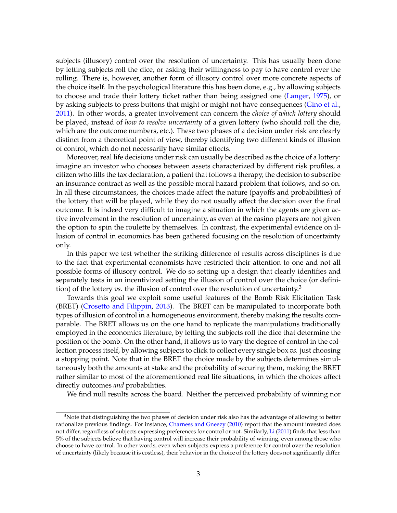subjects (illusory) control over the resolution of uncertainty. This has usually been done by letting subjects roll the dice, or asking their willingness to pay to have control over the rolling. There is, however, another form of illusory control over more concrete aspects of the choice itself. In the psychological literature this has been done, e.g., by allowing subjects to choose and trade their lottery ticket rather than being assigned one [\(Langer,](#page-13-0) [1975\)](#page-13-0), or by asking subjects to press buttons that might or might not have consequences [\(Gino et al.,](#page-13-10) [2011\)](#page-13-10). In other words, a greater involvement can concern the *choice of which lottery* should be played, instead of *how to resolve uncertainty* of a given lottery (who should roll the die, which are the outcome numbers, etc.). These two phases of a decision under risk are clearly distinct from a theoretical point of view, thereby identifying two different kinds of illusion of control, which do not necessarily have similar effects.

Moreover, real life decisions under risk can usually be described as the choice of a lottery: imagine an investor who chooses between assets characterized by different risk profiles, a citizen who fills the tax declaration, a patient that follows a therapy, the decision to subscribe an insurance contract as well as the possible moral hazard problem that follows, and so on. In all these circumstances, the choices made affect the nature (payoffs and probabilities) of the lottery that will be played, while they do not usually affect the decision over the final outcome. It is indeed very difficult to imagine a situation in which the agents are given active involvement in the resolution of uncertainty, as even at the casino players are not given the option to spin the roulette by themselves. In contrast, the experimental evidence on illusion of control in economics has been gathered focusing on the resolution of uncertainty only.

In this paper we test whether the striking difference of results across disciplines is due to the fact that experimental economists have restricted their attention to one and not all possible forms of illusory control. We do so setting up a design that clearly identifies and separately tests in an incentivized setting the illusion of control over the choice (or definition) of the lottery *vs*. the illusion of control over the resolution of uncertainty.<sup>3</sup>

Towards this goal we exploit some useful features of the Bomb Risk Elicitation Task (BRET) [\(Crosetto and Filippin,](#page-13-11) [2013\)](#page-13-11). The BRET can be manipulated to incorporate both types of illusion of control in a homogeneous environment, thereby making the results comparable. The BRET allows us on the one hand to replicate the manipulations traditionally employed in the economics literature, by letting the subjects roll the dice that determine the position of the bomb. On the other hand, it allows us to vary the degree of control in the collection process itself, by allowing subjects to click to collect every single box *vs.* just choosing a stopping point. Note that in the BRET the choice made by the subjects determines simultaneously both the amounts at stake and the probability of securing them, making the BRET rather similar to most of the aforementioned real life situations, in which the choices affect directly outcomes *and* probabilities.

We find null results across the board. Neither the perceived probability of winning nor

<sup>&</sup>lt;sup>3</sup>Note that distinguishing the two phases of decision under risk also has the advantage of allowing to better rationalize previous findings. For instance, [Charness and Gneezy](#page-13-4) [\(2010\)](#page-13-4) report that the amount invested does not differ, regardless of subjects expressing preferences for control or not. Similarly, [Li](#page-13-6) [\(2011\)](#page-13-6) finds that less than 5% of the subjects believe that having control will increase their probability of winning, even among those who choose to have control. In other words, even when subjects express a preference for control over the resolution of uncertainty (likely because it is costless), their behavior in the choice of the lottery does not significantly differ.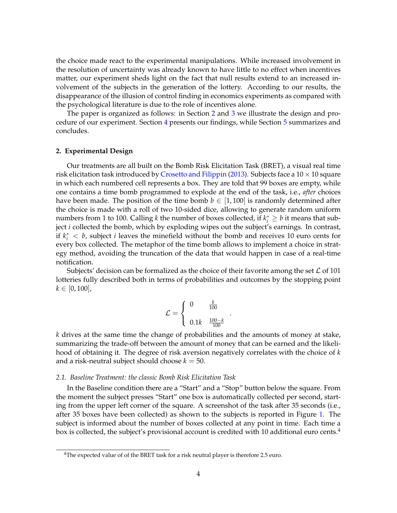the choice made react to the experimental manipulations. While increased involvement in the resolution of uncertainty was already known to have little to no effect when incentives matter, our experiment sheds light on the fact that null results extend to an increased involvement of the subjects in the generation of the lottery. According to our results, the disappearance of the illusion of control finding in economics experiments as compared with the psychological literature is due to the role of incentives alone.

The paper is organized as follows: in Section [2](#page-5-0) and [3](#page-7-0) we illustrate the design and procedure of our experiment. Section [4](#page-8-0) presents our findings, while Section [5](#page-10-0) summarizes and concludes.

#### <span id="page-5-0"></span>**2. Experimental Design**

Our treatments are all built on the Bomb Risk Elicitation Task (BRET), a visual real time risk elicitation task introduced by [Crosetto and Filippin](#page-13-11) [\(2013\)](#page-13-11). Subjects face a  $10 \times 10$  square in which each numbered cell represents a box. They are told that 99 boxes are empty, while one contains a time bomb programmed to explode at the end of the task, i.e., *after* choices have been made. The position of the time bomb  $b \in [1,100]$  is randomly determined after the choice is made with a roll of two 10-sided dice, allowing to generate random uniform numbers from 1 to 100. Calling *k* the number of boxes collected, if  $k_i^* \geq b$  it means that subject *i* collected the bomb, which by exploding wipes out the subject's earnings. In contrast, if  $k_i^* < b$ , subject *i* leaves the minefield without the bomb and receives 10 euro cents for every box collected. The metaphor of the time bomb allows to implement a choice in strategy method, avoiding the truncation of the data that would happen in case of a real-time notification.

Subjects' decision can be formalized as the choice of their favorite among the set  $\mathcal L$  of 101 lotteries fully described both in terms of probabilities and outcomes by the stopping point  $k \in [0, 100]$ ,

$$
\mathcal{L} = \begin{cases} 0 & \frac{k}{100} \\ 0.1k & \frac{100 - k}{100} \end{cases}
$$

.

*k* drives at the same time the change of probabilities and the amounts of money at stake, summarizing the trade-off between the amount of money that can be earned and the likelihood of obtaining it. The degree of risk aversion negatively correlates with the choice of *k* and a risk-neutral subject should choose  $k = 50$ .

#### *2.1. Baseline Treatment: the classic Bomb Risk Elicitation Task*

In the Baseline condition there are a "Start" and a "Stop" button below the square. From the moment the subject presses "Start" one box is automatically collected per second, starting from the upper left corner of the square. A screenshot of the task after 35 seconds (i.e., after 35 boxes have been collected) as shown to the subjects is reported in Figure [1.](#page-6-0) The subject is informed about the number of boxes collected at any point in time. Each time a box is collected, the subject's provisional account is credited with 10 additional euro cents.<sup>4</sup>

 $4$ The expected value of of the BRET task for a risk neutral player is therefore 2.5 euro.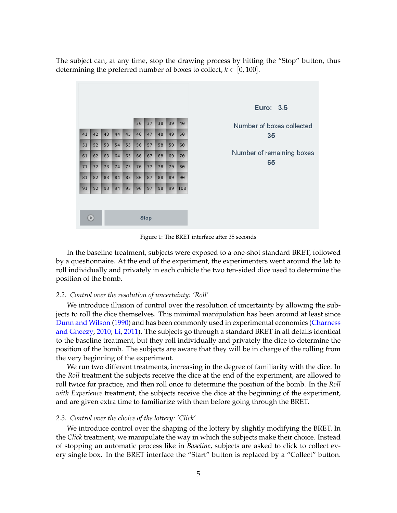The subject can, at any time, stop the drawing process by hitting the "Stop" button, thus determining the preferred number of boxes to collect,  $k \in [0, 100]$ .



<span id="page-6-0"></span>Figure 1: The BRET interface after 35 seconds

In the baseline treatment, subjects were exposed to a one-shot standard BRET, followed by a questionnaire. At the end of the experiment, the experimenters went around the lab to roll individually and privately in each cubicle the two ten-sided dice used to determine the position of the bomb.

#### *2.2. Control over the resolution of uncertainty: 'Roll'*

We introduce illusion of control over the resolution of uncertainty by allowing the subjects to roll the dice themselves. This minimal manipulation has been around at least since [Dunn and Wilson](#page-13-3) [\(1990\)](#page-13-3) and has been commonly used in experimental economics [\(Charness](#page-13-4) [and Gneezy,](#page-13-4) [2010;](#page-13-4) [Li,](#page-13-6) [2011\)](#page-13-6). The subjects go through a standard BRET in all details identical to the baseline treatment, but they roll individually and privately the dice to determine the position of the bomb. The subjects are aware that they will be in charge of the rolling from the very beginning of the experiment.

We run two different treatments, increasing in the degree of familiarity with the dice. In the *Roll* treatment the subjects receive the dice at the end of the experiment, are allowed to roll twice for practice, and then roll once to determine the position of the bomb. In the *Roll with Experience* treatment, the subjects receive the dice at the beginning of the experiment, and are given extra time to familiarize with them before going through the BRET.

#### *2.3. Control over the choice of the lottery: 'Click'*

We introduce control over the shaping of the lottery by slightly modifying the BRET. In the *Click* treatment, we manipulate the way in which the subjects make their choice. Instead of stopping an automatic process like in *Baseline*, subjects are asked to click to collect every single box. In the BRET interface the "Start" button is replaced by a "Collect" button.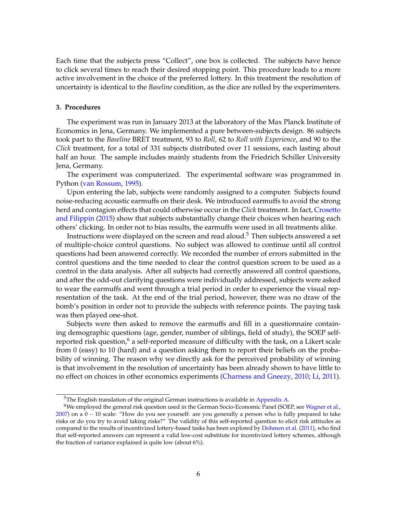Each time that the subjects press "Collect", one box is collected. The subjects have hence to click several times to reach their desired stopping point. This procedure leads to a more active involvement in the choice of the preferred lottery. In this treatment the resolution of uncertainty is identical to the *Baseline* condition, as the dice are rolled by the experimenters.

#### <span id="page-7-0"></span>**3. Procedures**

The experiment was run in January 2013 at the laboratory of the Max Planck Institute of Economics in Jena, Germany. We implemented a pure between-subjects design. 86 subjects took part to the *Baseline* BRET treatment, 93 to *Roll*, 62 to *Roll with Experience*, and 90 to the *Click* treatment, for a total of 331 subjects distributed over 11 sessions, each lasting about half an hour. The sample includes mainly students from the Friedrich Schiller University Jena, Germany.

The experiment was computerized. The experimental software was programmed in Python [\(van Rossum,](#page-13-12) [1995\)](#page-13-12).

Upon entering the lab, subjects were randomly assigned to a computer. Subjects found noise-reducing acoustic earmuffs on their desk. We introduced earmuffs to avoid the strong herd and contagion effects that could otherwise occur in the *Click* treatment. In fact, [Crosetto](#page-13-13) [and Filippin](#page-13-13) [\(2015\)](#page-13-13) show that subjects substantially change their choices when hearing each others' clicking. In order not to bias results, the earmuffs were used in all treatments alike.

Instructions were displayed on the screen and read aloud.<sup>5</sup> Then subjects answered a set of multiple-choice control questions. No subject was allowed to continue until all control questions had been answered correctly. We recorded the number of errors submitted in the control questions and the time needed to clear the control question screen to be used as a control in the data analysis. After all subjects had correctly answered all control questions, and after the odd-out clarifying questions were individually addressed, subjects were asked to wear the earmuffs and went through a trial period in order to experience the visual representation of the task. At the end of the trial period, however, there was no draw of the bomb's position in order not to provide the subjects with reference points. The paying task was then played one-shot.

Subjects were then asked to remove the earmuffs and fill in a questionnaire containing demographic questions (age, gender, number of siblings, field of study), the SOEP selfreported risk question,<sup>6</sup> a self-reported measure of difficulty with the task, on a Likert scale from 0 (easy) to 10 (hard) and a question asking them to report their beliefs on the probability of winning. The reason why we directly ask for the perceived probability of winning is that involvement in the resolution of uncertainty has been already shown to have little to no effect on choices in other economics experiments [\(Charness and Gneezy,](#page-13-4) [2010;](#page-13-4) [Li,](#page-13-6) [2011\)](#page-13-6).

<sup>&</sup>lt;sup>5</sup>The English translation of the original German instructions is available in [Appendix A.](#page-14-0)

<sup>6</sup>We employed the general risk question used in the German Socio-Economic Panel (SOEP, see [Wagner et al.,](#page-13-14) [2007\)](#page-13-14) on a 0 − 10 scale: "How do you see yourself: are you generally a person who is fully prepared to take risks or do you try to avoid taking risks?" The validity of this self-reported question to elicit risk attitudes as compared to the results of incentivized lottery-based tasks has been explored by [Dohmen et al.](#page-13-15) [\(2011\)](#page-13-15), who find that self-reported answers can represent a valid low-cost substitute for incentivized lottery schemes, although the fraction of variance explained is quite low (about 6%).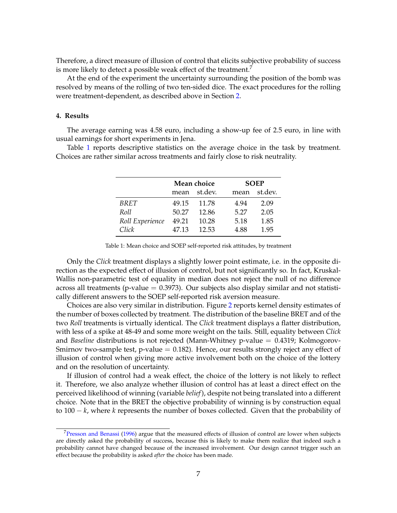Therefore, a direct measure of illusion of control that elicits subjective probability of success is more likely to detect a possible weak effect of the treatment.<sup>7</sup>

At the end of the experiment the uncertainty surrounding the position of the bomb was resolved by means of the rolling of two ten-sided dice. The exact procedures for the rolling were treatment-dependent, as described above in Section [2.](#page-5-0)

#### <span id="page-8-0"></span>**4. Results**

The average earning was 4.58 euro, including a show-up fee of 2.5 euro, in line with usual earnings for short experiments in Jena.

Table [1](#page-8-1) reports descriptive statistics on the average choice in the task by treatment. Choices are rather similar across treatments and fairly close to risk neutrality.

|                 |                 | Mean choice |      | <b>SOEP</b> |  |  |
|-----------------|-----------------|-------------|------|-------------|--|--|
|                 | st.dev.<br>mean |             | mean | st.dev.     |  |  |
| BRET            | 49.15           | 11.78       | 4.94 | 2.09        |  |  |
| Roll            | 50.27           | 12.86       | 5.27 | 2.05        |  |  |
| Roll Experience | 49.21           | 10.28       | 5.18 | 1.85        |  |  |
| Click           | 47.13           | 12.53       | 4.88 | 1.95        |  |  |

<span id="page-8-1"></span>Table 1: Mean choice and SOEP self-reported risk attitudes, by treatment

Only the *Click* treatment displays a slightly lower point estimate, i.e. in the opposite direction as the expected effect of illusion of control, but not significantly so. In fact, Kruskal-Wallis non-parametric test of equality in median does not reject the null of no difference across all treatments (p-value  $= 0.3973$ ). Our subjects also display similar and not statistically different answers to the SOEP self-reported risk aversion measure.

Choices are also very similar in distribution. Figure [2](#page-9-0) reports kernel density estimates of the number of boxes collected by treatment. The distribution of the baseline BRET and of the two *Roll* treatments is virtually identical. The *Click* treatment displays a flatter distribution, with less of a spike at 48-49 and some more weight on the tails. Still, equality between *Click* and *Baseline* distributions is not rejected (Mann-Whitney p-value = 0.4319; Kolmogorov-Smirnov two-sample test, p-value  $= 0.182$ ). Hence, our results strongly reject any effect of illusion of control when giving more active involvement both on the choice of the lottery and on the resolution of uncertainty.

If illusion of control had a weak effect, the choice of the lottery is not likely to reflect it. Therefore, we also analyze whether illusion of control has at least a direct effect on the perceived likelihood of winning (variable *belief*), despite not being translated into a different choice. Note that in the BRET the objective probability of winning is by construction equal to 100 − *k*, where *k* represents the number of boxes collected. Given that the probability of

<sup>&</sup>lt;sup>7</sup>[Presson and Benassi](#page-13-1) [\(1996\)](#page-13-1) argue that the measured effects of illusion of control are lower when subjects are directly asked the probability of success, because this is likely to make them realize that indeed such a probability cannot have changed because of the increased involvement. Our design cannot trigger such an effect because the probability is asked *after* the choice has been made.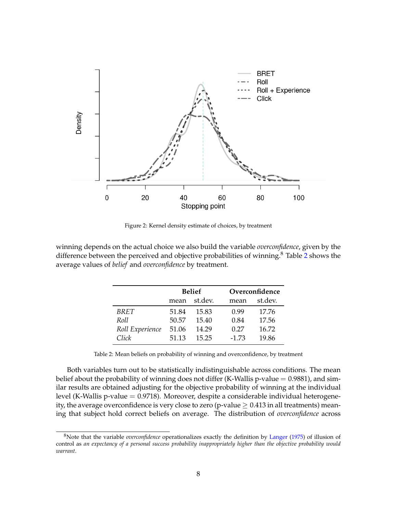

<span id="page-9-0"></span>Figure 2: Kernel density estimate of choices, by treatment

winning depends on the actual choice we also build the variable *overconfidence*, given by the difference between the perceived and objective probabilities of winning.<sup>8</sup> Table [2](#page-9-1) shows the average values of *belief* and *overconfidence* by treatment.

|                 |                 | <b>Belief</b> |         | Overconfidence |  |  |
|-----------------|-----------------|---------------|---------|----------------|--|--|
|                 | st.dev.<br>mean |               | mean    | st.dev.        |  |  |
| <b>BRET</b>     | 51.84           | 15.83         | 0.99    | 17.76          |  |  |
| Roll            | 50.57           | 15.40         | 0.84    | 17.56          |  |  |
| Roll Experience | 51.06           | 14.29         | 0.27    | 16.72          |  |  |
| Click           | 51.13           | 15.25         | $-1.73$ | 19.86          |  |  |

<span id="page-9-1"></span>Table 2: Mean beliefs on probability of winning and overconfidence, by treatment

Both variables turn out to be statistically indistinguishable across conditions. The mean belief about the probability of winning does not differ (K-Wallis p-value  $= 0.9881$ ), and similar results are obtained adjusting for the objective probability of winning at the individual level (K-Wallis p-value = 0.9718). Moreover, despite a considerable individual heterogeneity, the average overconfidence is very close to zero (p-value  $\geq 0.413$  in all treatments) meaning that subject hold correct beliefs on average. The distribution of *overconfidence* across

<sup>8</sup>Note that the variable *overconfidence* operationalizes exactly the definition by [Langer](#page-13-0) [\(1975\)](#page-13-0) of illusion of control as *an expectancy of a personal success probability inappropriately higher than the objective probability would warrant*.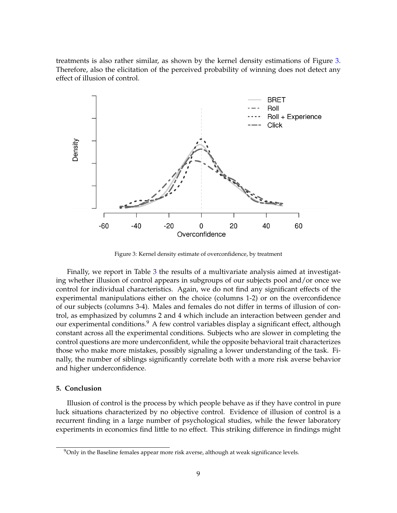treatments is also rather similar, as shown by the kernel density estimations of Figure [3.](#page-10-1) Therefore, also the elicitation of the perceived probability of winning does not detect any effect of illusion of control.



<span id="page-10-1"></span>Figure 3: Kernel density estimate of overconfidence, by treatment

Finally, we report in Table [3](#page-11-0) the results of a multivariate analysis aimed at investigating whether illusion of control appears in subgroups of our subjects pool and/or once we control for individual characteristics. Again, we do not find any significant effects of the experimental manipulations either on the choice (columns 1-2) or on the overconfidence of our subjects (columns 3-4). Males and females do not differ in terms of illusion of control, as emphasized by columns 2 and 4 which include an interaction between gender and our experimental conditions.<sup>9</sup> A few control variables display a significant effect, although constant across all the experimental conditions. Subjects who are slower in completing the control questions are more underconfident, while the opposite behavioral trait characterizes those who make more mistakes, possibly signaling a lower understanding of the task. Finally, the number of siblings significantly correlate both with a more risk averse behavior and higher underconfidence.

### <span id="page-10-0"></span>**5. Conclusion**

Illusion of control is the process by which people behave as if they have control in pure luck situations characterized by no objective control. Evidence of illusion of control is a recurrent finding in a large number of psychological studies, while the fewer laboratory experiments in economics find little to no effect. This striking difference in findings might

 $9$ Only in the Baseline females appear more risk averse, although at weak significance levels.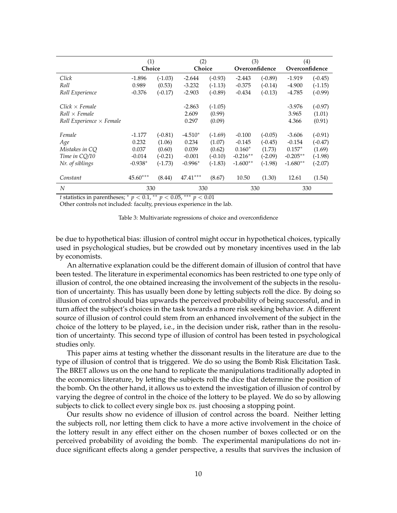|                                 | (1)<br>Choice |           | (2)<br>Choice |           | (3)<br>Overconfidence |           | (4)<br>Overconfidence |           |
|---------------------------------|---------------|-----------|---------------|-----------|-----------------------|-----------|-----------------------|-----------|
| Click                           | $-1.896$      | $(-1.03)$ | $-2.644$      | $(-0.93)$ | $-2.443$              | $(-0.89)$ | $-1.919$              | $(-0.45)$ |
| Roll                            | 0.989         | (0.53)    | $-3.232$      | $(-1.13)$ | $-0.375$              | $(-0.14)$ | $-4.900$              | $(-1.15)$ |
| Roll Experience                 | $-0.376$      | $(-0.17)$ | $-2.903$      | $(-0.89)$ | $-0.434$              | $(-0.13)$ | $-4.785$              | $(-0.99)$ |
| $Click \times Female$           |               |           | $-2.863$      | $(-1.05)$ |                       |           | $-3.976$              | $(-0.97)$ |
| $Roll \times Female$            |               |           | 2.609         | (0.99)    |                       |           | 3.965                 | (1.01)    |
| Roll Experience $\times$ Female |               |           | 0.297         | (0.09)    |                       |           | 4.366                 | (0.91)    |
| Female                          | $-1.177$      | $(-0.81)$ | $-4.510*$     | $(-1.69)$ | $-0.100$              | $(-0.05)$ | $-3.606$              | $(-0.91)$ |
| Age                             | 0.232         | (1.06)    | 0.234         | (1.07)    | $-0.145$              | $(-0.45)$ | $-0.154$              | $(-0.47)$ |
| Mistakes in CQ                  | 0.037         | (0.60)    | 0.039         | (0.62)    | $0.160*$              | (1.73)    | $0.157*$              | (1.69)    |
| Time in CO/10                   | $-0.014$      | $(-0.21)$ | $-0.001$      | $(-0.10)$ | $-0.216**$            | $(-2.09)$ | $-0.205***$           | $(-1.98)$ |
| Nr. of siblings                 | $-0.938*$     | $(-1.73)$ | $-0.996*$     | $(-1.83)$ | $-1.600**$            | $(-1.98)$ | $-1.680**$            | $(-2.07)$ |
| Constant                        | $45.60***$    | (8.44)    | $47.41***$    | (8.67)    | 10.50                 | (1.30)    | 12.61                 | (1.54)    |
| N                               | 330           |           | 330           |           | 330                   |           | 330                   |           |

*t* statistics in parentheses;  $*$  *p* < 0.1,  $*$  *p* < 0.05,  $*$  *≠ p* < 0.01

Other controls not included: faculty, previous experience in the lab.

<span id="page-11-0"></span>

|  |  |  | Table 3: Multivariate regressions of choice and overconfidence |
|--|--|--|----------------------------------------------------------------|
|  |  |  |                                                                |

be due to hypothetical bias: illusion of control might occur in hypothetical choices, typically used in psychological studies, but be crowded out by monetary incentives used in the lab by economists.

An alternative explanation could be the different domain of illusion of control that have been tested. The literature in experimental economics has been restricted to one type only of illusion of control, the one obtained increasing the involvement of the subjects in the resolution of uncertainty. This has usually been done by letting subjects roll the dice. By doing so illusion of control should bias upwards the perceived probability of being successful, and in turn affect the subject's choices in the task towards a more risk seeking behavior. A different source of illusion of control could stem from an enhanced involvement of the subject in the choice of the lottery to be played, i.e., in the decision under risk, rather than in the resolution of uncertainty. This second type of illusion of control has been tested in psychological studies only.

This paper aims at testing whether the dissonant results in the literature are due to the type of illusion of control that is triggered. We do so using the Bomb Risk Elicitation Task. The BRET allows us on the one hand to replicate the manipulations traditionally adopted in the economics literature, by letting the subjects roll the dice that determine the position of the bomb. On the other hand, it allows us to extend the investigation of illusion of control by varying the degree of control in the choice of the lottery to be played. We do so by allowing subjects to click to collect every single box *vs.* just choosing a stopping point.

Our results show no evidence of illusion of control across the board. Neither letting the subjects roll, nor letting them click to have a more active involvement in the choice of the lottery result in any effect either on the chosen number of boxes collected or on the perceived probability of avoiding the bomb. The experimental manipulations do not induce significant effects along a gender perspective, a results that survives the inclusion of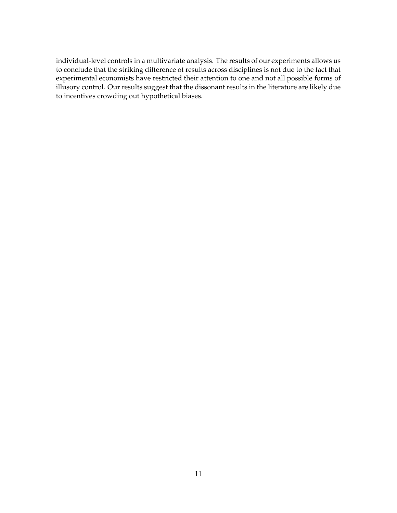individual-level controls in a multivariate analysis. The results of our experiments allows us to conclude that the striking difference of results across disciplines is not due to the fact that experimental economists have restricted their attention to one and not all possible forms of illusory control. Our results suggest that the dissonant results in the literature are likely due to incentives crowding out hypothetical biases.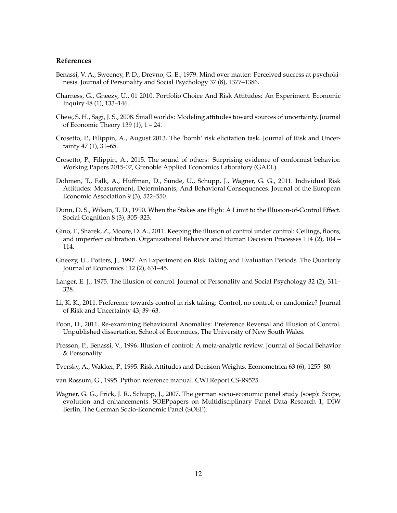#### **References**

- <span id="page-13-2"></span>Benassi, V. A., Sweeney, P. D., Drevno, G. E., 1979. Mind over matter: Perceived success at psychokinesis. Journal of Personality and Social Psychology 37 (8), 1377–1386.
- <span id="page-13-4"></span>Charness, G., Gneezy, U., 01 2010. Portfolio Choice And Risk Attitudes: An Experiment. Economic Inquiry 48 (1), 133–146.
- <span id="page-13-8"></span>Chew, S. H., Sagi, J. S., 2008. Small worlds: Modeling attitudes toward sources of uncertainty. Journal of Economic Theory 139 (1), 1 – 24.
- <span id="page-13-11"></span>Crosetto, P., Filippin, A., August 2013. The 'bomb' risk elicitation task. Journal of Risk and Uncertainty 47 (1), 31–65.
- <span id="page-13-13"></span>Crosetto, P., Filippin, A., 2015. The sound of others: Surprising evidence of conformist behavior. Working Papers 2015-07, Grenoble Applied Economics Laboratory (GAEL).
- <span id="page-13-15"></span>Dohmen, T., Falk, A., Huffman, D., Sunde, U., Schupp, J., Wagner, G. G., 2011. Individual Risk Attitudes: Measurement, Determinants, And Behavioral Consequences. Journal of the European Economic Association 9 (3), 522–550.
- <span id="page-13-3"></span>Dunn, D. S., Wilson, T. D., 1990. When the Stakes are High: A Limit to the Illusion-of-Control Effect. Social Cognition 8 (3), 305–323.
- <span id="page-13-10"></span>Gino, F., Sharek, Z., Moore, D. A., 2011. Keeping the illusion of control under control: Ceilings, floors, and imperfect calibration. Organizational Behavior and Human Decision Processes 114 (2), 104 – 114.
- <span id="page-13-5"></span>Gneezy, U., Potters, J., 1997. An Experiment on Risk Taking and Evaluation Periods. The Quarterly Journal of Economics 112 (2), 631–45.
- <span id="page-13-0"></span>Langer, E. J., 1975. The illusion of control. Journal of Personality and Social Psychology 32 (2), 311– 328.
- <span id="page-13-6"></span>Li, K. K., 2011. Preference towards control in risk taking: Control, no control, or randomize? Journal of Risk and Uncertainty 43, 39–63.
- <span id="page-13-7"></span>Poon, D., 2011. Re-examining Behavioural Anomalies: Preference Reversal and Illusion of Control. Unpublished dissertation, School of Economics, The University of New South Wales.
- <span id="page-13-1"></span>Presson, P., Benassi, V., 1996. Illusion of control: A meta-analytic review. Journal of Social Behavior & Personality.
- <span id="page-13-9"></span>Tversky, A., Wakker, P., 1995. Risk Attitudes and Decision Weights. Econometrica 63 (6), 1255–80.
- <span id="page-13-12"></span>van Rossum, G., 1995. Python reference manual. CWI Report CS-R9525.
- <span id="page-13-14"></span>Wagner, G. G., Frick, J. R., Schupp, J., 2007. The german socio-economic panel study (soep): Scope, evolution and enhancements. SOEPpapers on Multidisciplinary Panel Data Research 1, DIW Berlin, The German Socio-Economic Panel (SOEP).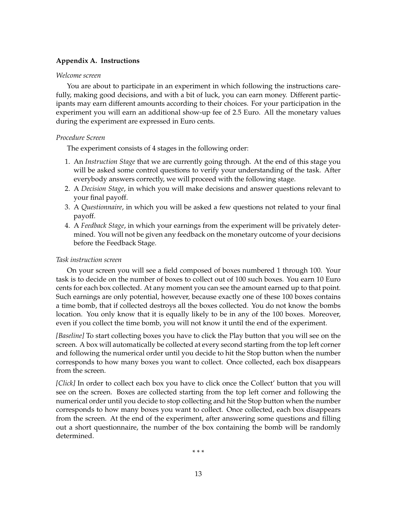# <span id="page-14-0"></span>**Appendix A. Instructions**

### *Welcome screen*

You are about to participate in an experiment in which following the instructions carefully, making good decisions, and with a bit of luck, you can earn money. Different participants may earn different amounts according to their choices. For your participation in the experiment you will earn an additional show-up fee of 2.5 Euro. All the monetary values during the experiment are expressed in Euro cents.

## *Procedure Screen*

The experiment consists of 4 stages in the following order:

- 1. An *Instruction Stage* that we are currently going through. At the end of this stage you will be asked some control questions to verify your understanding of the task. After everybody answers correctly, we will proceed with the following stage.
- 2. A *Decision Stage*, in which you will make decisions and answer questions relevant to your final payoff.
- 3. A *Questionnaire*, in which you will be asked a few questions not related to your final payoff.
- 4. A *Feedback Stage*, in which your earnings from the experiment will be privately determined. You will not be given any feedback on the monetary outcome of your decisions before the Feedback Stage.

# *Task instruction screen*

On your screen you will see a field composed of boxes numbered 1 through 100. Your task is to decide on the number of boxes to collect out of 100 such boxes. You earn 10 Euro cents for each box collected. At any moment you can see the amount earned up to that point. Such earnings are only potential, however, because exactly one of these 100 boxes contains a time bomb, that if collected destroys all the boxes collected. You do not know the bombs location. You only know that it is equally likely to be in any of the 100 boxes. Moreover, even if you collect the time bomb, you will not know it until the end of the experiment.

*[Baseline]* To start collecting boxes you have to click the Play button that you will see on the screen. A box will automatically be collected at every second starting from the top left corner and following the numerical order until you decide to hit the Stop button when the number corresponds to how many boxes you want to collect. Once collected, each box disappears from the screen.

*[Click]* In order to collect each box you have to click once the Collect' button that you will see on the screen. Boxes are collected starting from the top left corner and following the numerical order until you decide to stop collecting and hit the Stop button when the number corresponds to how many boxes you want to collect. Once collected, each box disappears from the screen. At the end of the experiment, after answering some questions and filling out a short questionnaire, the number of the box containing the bomb will be randomly determined.

\* \* \*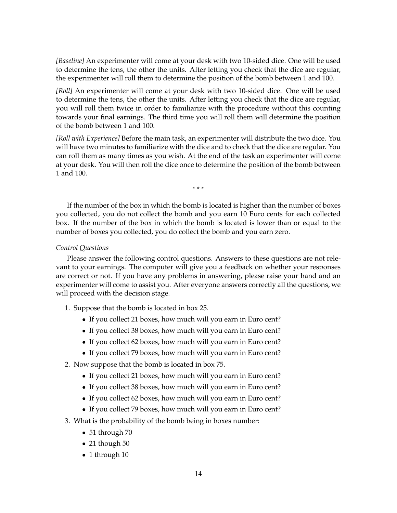*[Baseline]* An experimenter will come at your desk with two 10-sided dice. One will be used to determine the tens, the other the units. After letting you check that the dice are regular, the experimenter will roll them to determine the position of the bomb between 1 and 100.

*[Roll]* An experimenter will come at your desk with two 10-sided dice. One will be used to determine the tens, the other the units. After letting you check that the dice are regular, you will roll them twice in order to familiarize with the procedure without this counting towards your final earnings. The third time you will roll them will determine the position of the bomb between 1 and 100.

*[Roll with Experience]* Before the main task, an experimenter will distribute the two dice. You will have two minutes to familiarize with the dice and to check that the dice are regular. You can roll them as many times as you wish. At the end of the task an experimenter will come at your desk. You will then roll the dice once to determine the position of the bomb between 1 and 100.

\* \* \*

If the number of the box in which the bomb is located is higher than the number of boxes you collected, you do not collect the bomb and you earn 10 Euro cents for each collected box. If the number of the box in which the bomb is located is lower than or equal to the number of boxes you collected, you do collect the bomb and you earn zero.

## *Control Questions*

Please answer the following control questions. Answers to these questions are not relevant to your earnings. The computer will give you a feedback on whether your responses are correct or not. If you have any problems in answering, please raise your hand and an experimenter will come to assist you. After everyone answers correctly all the questions, we will proceed with the decision stage.

- 1. Suppose that the bomb is located in box 25.
	- If you collect 21 boxes, how much will you earn in Euro cent?
	- If you collect 38 boxes, how much will you earn in Euro cent?
	- If you collect 62 boxes, how much will you earn in Euro cent?
	- If you collect 79 boxes, how much will you earn in Euro cent?
- 2. Now suppose that the bomb is located in box 75.
	- If you collect 21 boxes, how much will you earn in Euro cent?
	- If you collect 38 boxes, how much will you earn in Euro cent?
	- If you collect 62 boxes, how much will you earn in Euro cent?
	- If you collect 79 boxes, how much will you earn in Euro cent?
- 3. What is the probability of the bomb being in boxes number:
	- 51 through 70
	- 21 though 50
	- 1 through 10